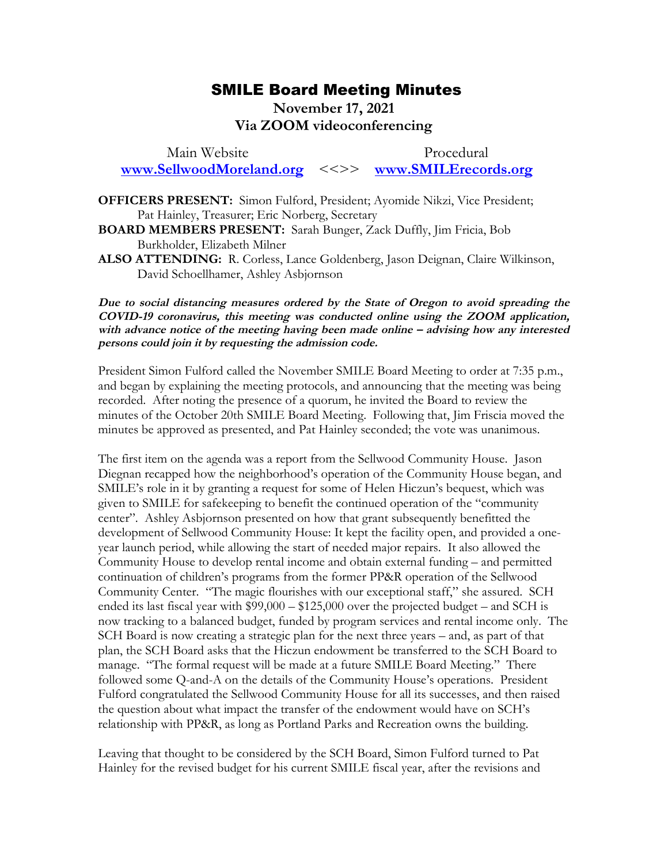## SMILE Board Meeting Minutes SMILE Board Meeting Minutes

## November 17, 2021 **November 17, 2021**  Via ZOOM videoconferencing **Via ZOOM videoconferencing**

Main Website Procedural Main Website Procedural<br>
WWW.SellwoodMoreland.org <<>> [www.SMILErecords.org](http://www.smilerecords.org/)

OFFICERS PRESENT: Simon Fulford, President; Ayomide Nikzi, Vice President; **OFFICERS PRESENT:** Simon Fulford, President; Ayomide Nikzi, Vice President; Pat Hainley, Treasurer; Eric Norberg, Secretary Pat Hainley, Treasurer; Eric Norberg, Secretary

BOARD MEMBERS PRESENT: Sarah Bunger, Zack Duffly, Jim Fricia, Bob **BOARD MEMBERS PRESENT:** Sarah Bunger, Zack Duffly, Jim Fricia, Bob Burkholder, Elizabeth Milner Burkholder, Elizabeth Milner

ALSO ATTENDING: R. Corless, Lance Goldenberg, Jason Deignan, Claire Wilkinson, **ALSO ATTENDING:** R. Corless, Lance Goldenberg, Jason Deignan, Claire Wilkinson, David Schoellhamer, Ashley Asbjornson David Schoellhamer, Ashley Asbjornson

Due to social distancing measures ordered by the State of Oregon to avoid spreading the **Due to social distancing measures ordered by the State of Oregon to avoid spreading the**  COVID-19 coronavirus, this meeting was conducted online using the ZOOM application, COVID-19 coronavirus, this meeting was conducted online using the ZOOM application, with advance notice of the meeting having been made online – advising how any interested persons could join it by requesting the admission code. **persons could join it by requesting the admission code.**

President Simon Fulford called the November SMILE Board Meeting to order at 7:35 p.m., and began by explaining the meeting protocols, and announcing that the meeting was being and began by explaining the meeting protocols, and announcing that the meeting was being recorded. After noting the presence of a quorum, he invited the Board to review the recorded. After noting the presence of a quorum, he invited the Board to review the<br>minutes of the October 20th SMILE Board Meeting. Following that, Jim Friscia moved the minutes be approved as presented, and Pat Hainley seconded; the vote was unanimous.

The first item on the agenda was a report from the Sellwood Community House. Jason minutes be approved as presented, and Pat Hainley seconded; the vote was unanimous.<br>The first item on the agenda was a report from the Sellwood Community House. Jason<br>Diegnan recapped how the neighborhood's operation of th SMILE's role in it by granting a request for some of Helen Hiczun's bequest, which was SMILE's role in it by granting a request for some of Helen Hiczun's bequest, which was<br>given to SMILE for safekeeping to benefit the continued operation of the "community center". Ashley Asbjornson presented on how that grant subsequently benefitted the center". Ashley Asbjornson presented on how that grant subsequently benefitted the<br>development of Sellwood Community House: It kept the facility open, and provided a oneyear launch period, while allowing the start of needed major repairs. It also allowed the<br>Community House to develop rental income and obtain external funding – and permitted Community House to develop rental income and obtain external funding — and permitted continuation of children's programs from the former PP&R operation of the Sellwood continuation of children's programs from the former PP&R operation of the Sellwood Community Center. "The magic flourishes with our exceptional staff," she assured. SCH Community Center. "The magic flourishes with our exceptional staff," she assured. SCH ended its last fiscal year with  $$99,000 - $125,000$  over the projected budget – and SCH is ended its last fiscal year with \$99,000 – \$125,000 over the projected budget – and SCH is<br>now tracking to a balanced budget, funded by program services and rental income only. The SCH Board is now creating a strategic plan for the next three years — and, as part of that SCH Board is now creating a strategic plan for the next three years – and, as part of that<br>plan, the SCH Board asks that the Hiczun endowment be transferred to the SCH Board to manage. "The formal request will be made at a future SMILE Board Meeting." There manage. "The formal request will be made at a future SMILE Board Meeting." There<br>followed some Q-and-A on the details of the Community House's operations. President Fulford congratulated the Sellwood Community House for all its successes, and then raised<br>the question about what impact the transfer of the endowment would have on SCH's the question about what impact the transfer of the endowment would have on SCH's relationship with PP&R, as long as Portland Parks and Recreation owns the building. relationship with PP&R, as long as Portland Parks and Recreation owns the building.

Leaving that thought to be considered by the SCH Board, Simon Fulford turned to Pat Leaving that thought to be considered by the SCH Board, Simon Fulford turned to Pat<br>Hainley for the revised budget for his current SMILE fiscal year, after the revisions and